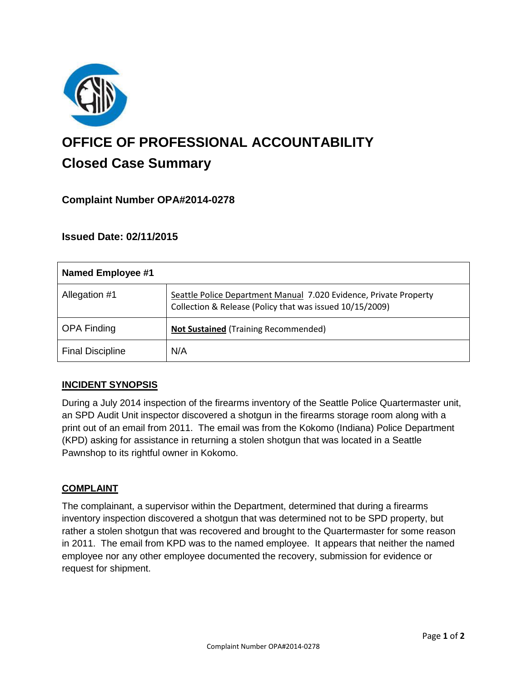

# **OFFICE OF PROFESSIONAL ACCOUNTABILITY Closed Case Summary**

# **Complaint Number OPA#2014-0278**

## **Issued Date: 02/11/2015**

| Named Employee #1       |                                                                                                                               |
|-------------------------|-------------------------------------------------------------------------------------------------------------------------------|
| Allegation #1           | Seattle Police Department Manual 7.020 Evidence, Private Property<br>Collection & Release (Policy that was issued 10/15/2009) |
| <b>OPA Finding</b>      | <b>Not Sustained (Training Recommended)</b>                                                                                   |
| <b>Final Discipline</b> | N/A                                                                                                                           |

#### **INCIDENT SYNOPSIS**

During a July 2014 inspection of the firearms inventory of the Seattle Police Quartermaster unit, an SPD Audit Unit inspector discovered a shotgun in the firearms storage room along with a print out of an email from 2011. The email was from the Kokomo (Indiana) Police Department (KPD) asking for assistance in returning a stolen shotgun that was located in a Seattle Pawnshop to its rightful owner in Kokomo.

#### **COMPLAINT**

The complainant, a supervisor within the Department, determined that during a firearms inventory inspection discovered a shotgun that was determined not to be SPD property, but rather a stolen shotgun that was recovered and brought to the Quartermaster for some reason in 2011. The email from KPD was to the named employee. It appears that neither the named employee nor any other employee documented the recovery, submission for evidence or request for shipment.